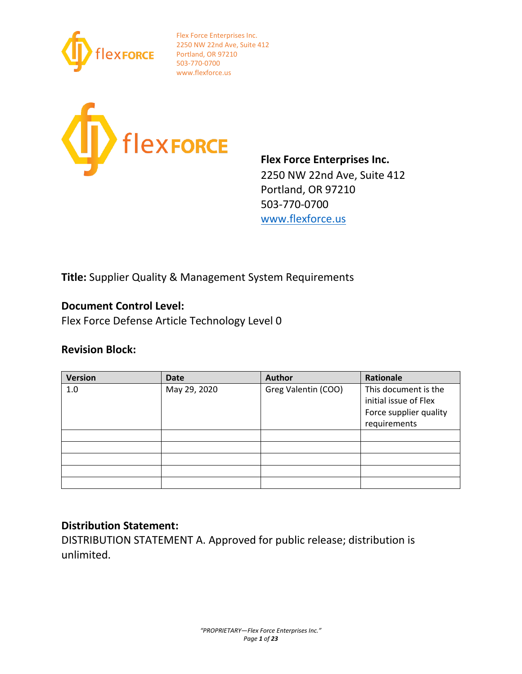



**Flex Force Enterprises Inc.** 2250 NW 22nd Ave, Suite 412 Portland, OR 97210 503-770-0700 [www.flexforce.us](http://www.flexforce.us/)

**Title:** Supplier Quality & Management System Requirements

## **Document Control Level:**

Flex Force Defense Article Technology Level 0

## **Revision Block:**

| <b>Version</b> | <b>Date</b>  | <b>Author</b>       | Rationale              |
|----------------|--------------|---------------------|------------------------|
| 1.0            | May 29, 2020 | Greg Valentin (COO) | This document is the   |
|                |              |                     | initial issue of Flex  |
|                |              |                     | Force supplier quality |
|                |              |                     | requirements           |
|                |              |                     |                        |
|                |              |                     |                        |
|                |              |                     |                        |
|                |              |                     |                        |
|                |              |                     |                        |

## **Distribution Statement:**

DISTRIBUTION STATEMENT A. Approved for public release; distribution is unlimited.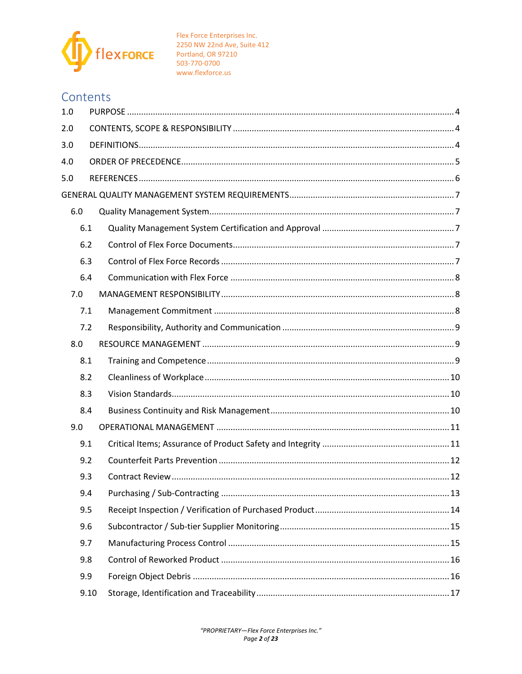

# Contents

| 1.0 |      |  |  |  |  |
|-----|------|--|--|--|--|
| 2.0 |      |  |  |  |  |
| 3.0 |      |  |  |  |  |
| 4.0 |      |  |  |  |  |
| 5.0 |      |  |  |  |  |
|     |      |  |  |  |  |
| 6.0 |      |  |  |  |  |
| 6.1 |      |  |  |  |  |
|     | 6.2  |  |  |  |  |
|     | 6.3  |  |  |  |  |
|     | 6.4  |  |  |  |  |
| 7.0 |      |  |  |  |  |
| 7.1 |      |  |  |  |  |
|     | 7.2  |  |  |  |  |
| 8.0 |      |  |  |  |  |
| 8.1 |      |  |  |  |  |
| 8.2 |      |  |  |  |  |
| 8.3 |      |  |  |  |  |
| 8.4 |      |  |  |  |  |
| 9.0 |      |  |  |  |  |
| 9.1 |      |  |  |  |  |
|     | 9.2  |  |  |  |  |
| 9.3 |      |  |  |  |  |
|     | 9.4  |  |  |  |  |
|     | 9.5  |  |  |  |  |
|     | 9.6  |  |  |  |  |
|     | 9.7  |  |  |  |  |
|     | 9.8  |  |  |  |  |
|     | 9.9  |  |  |  |  |
|     | 9.10 |  |  |  |  |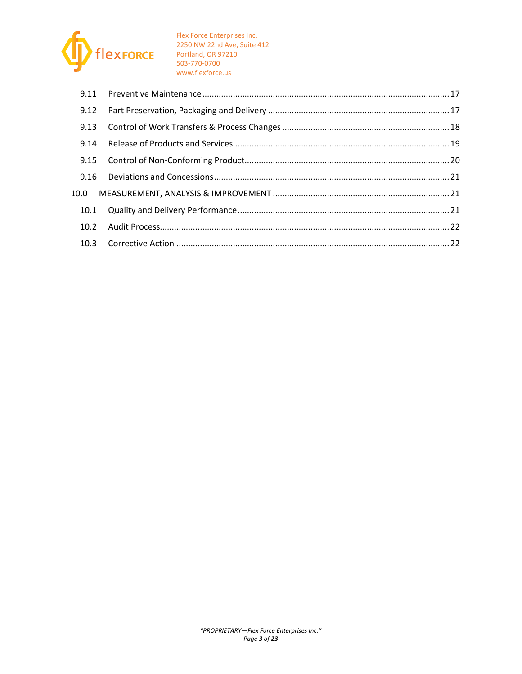

| 9.12 |  |
|------|--|
| 9.13 |  |
| 9.14 |  |
| 9.15 |  |
|      |  |
|      |  |
| 10.1 |  |
|      |  |
|      |  |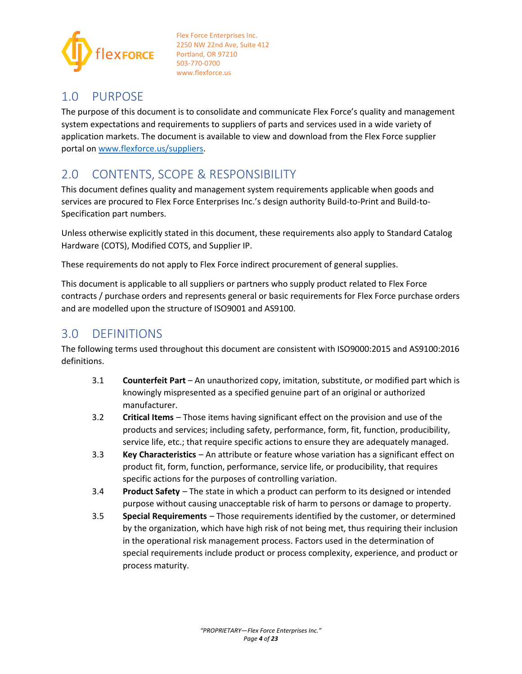

## <span id="page-3-0"></span>1.0 PURPOSE

The purpose of this document is to consolidate and communicate Flex Force's quality and management system expectations and requirements to suppliers of parts and services used in a wide variety of application markets. The document is available to view and download from the Flex Force supplier portal o[n www.flexforce.us/suppliers.](http://www.flexforce.us/suppliers)

# <span id="page-3-1"></span>2.0 CONTENTS, SCOPE & RESPONSIBILITY

This document defines quality and management system requirements applicable when goods and services are procured to Flex Force Enterprises Inc.'s design authority Build-to-Print and Build-to-Specification part numbers.

Unless otherwise explicitly stated in this document, these requirements also apply to Standard Catalog Hardware (COTS), Modified COTS, and Supplier IP.

These requirements do not apply to Flex Force indirect procurement of general supplies.

This document is applicable to all suppliers or partners who supply product related to Flex Force contracts / purchase orders and represents general or basic requirements for Flex Force purchase orders and are modelled upon the structure of ISO9001 and AS9100.

## <span id="page-3-2"></span>3.0 DEFINITIONS

The following terms used throughout this document are consistent with ISO9000:2015 and AS9100:2016 definitions.

- 3.1 **Counterfeit Part** An unauthorized copy, imitation, substitute, or modified part which is knowingly mispresented as a specified genuine part of an original or authorized manufacturer.
- 3.2 **Critical Items** Those items having significant effect on the provision and use of the products and services; including safety, performance, form, fit, function, producibility, service life, etc.; that require specific actions to ensure they are adequately managed.
- 3.3 **Key Characteristics** An attribute or feature whose variation has a significant effect on product fit, form, function, performance, service life, or producibility, that requires specific actions for the purposes of controlling variation.
- 3.4 **Product Safety** The state in which a product can perform to its designed or intended purpose without causing unacceptable risk of harm to persons or damage to property.
- 3.5 **Special Requirements** Those requirements identified by the customer, or determined by the organization, which have high risk of not being met, thus requiring their inclusion in the operational risk management process. Factors used in the determination of special requirements include product or process complexity, experience, and product or process maturity.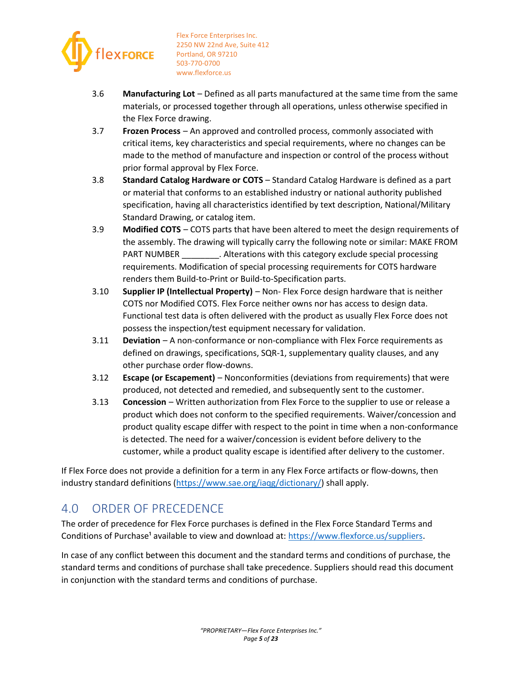

- 3.6 **Manufacturing Lot** Defined as all parts manufactured at the same time from the same materials, or processed together through all operations, unless otherwise specified in the Flex Force drawing.
- 3.7 **Frozen Process** An approved and controlled process, commonly associated with critical items, key characteristics and special requirements, where no changes can be made to the method of manufacture and inspection or control of the process without prior formal approval by Flex Force.
- 3.8 **Standard Catalog Hardware or COTS** Standard Catalog Hardware is defined as a part or material that conforms to an established industry or national authority published specification, having all characteristics identified by text description, National/Military Standard Drawing, or catalog item.
- 3.9 **Modified COTS** COTS parts that have been altered to meet the design requirements of the assembly. The drawing will typically carry the following note or similar: MAKE FROM PART NUMBER \_\_\_\_\_\_\_\_\_\_. Alterations with this category exclude special processing requirements. Modification of special processing requirements for COTS hardware renders them Build-to-Print or Build-to-Specification parts.
- 3.10 **Supplier IP (Intellectual Property)** Non- Flex Force design hardware that is neither COTS nor Modified COTS. Flex Force neither owns nor has access to design data. Functional test data is often delivered with the product as usually Flex Force does not possess the inspection/test equipment necessary for validation.
- 3.11 **Deviation** A non-conformance or non-compliance with Flex Force requirements as defined on drawings, specifications, SQR-1, supplementary quality clauses, and any other purchase order flow-downs.
- 3.12 **Escape (or Escapement)** Nonconformities (deviations from requirements) that were produced, not detected and remedied, and subsequently sent to the customer.
- 3.13 **Concession** Written authorization from Flex Force to the supplier to use or release a product which does not conform to the specified requirements. Waiver/concession and product quality escape differ with respect to the point in time when a non-conformance is detected. The need for a waiver/concession is evident before delivery to the customer, while a product quality escape is identified after delivery to the customer.

If Flex Force does not provide a definition for a term in any Flex Force artifacts or flow-downs, then industry standard definitions [\(https://www.sae.org/iaqg/dictionary/\)](https://www.sae.org/iaqg/dictionary/) shall apply.

## <span id="page-4-0"></span>4.0 ORDER OF PRECEDENCE

The order of precedence for Flex Force purchases is defined in the Flex Force Standard Terms and Conditions of Purchase<sup>1</sup> available to view and download at: [https://www.flexforce.us/suppliers.](https://www.flexforce.us/suppliers)

In case of any conflict between this document and the standard terms and conditions of purchase, the standard terms and conditions of purchase shall take precedence. Suppliers should read this document in conjunction with the standard terms and conditions of purchase.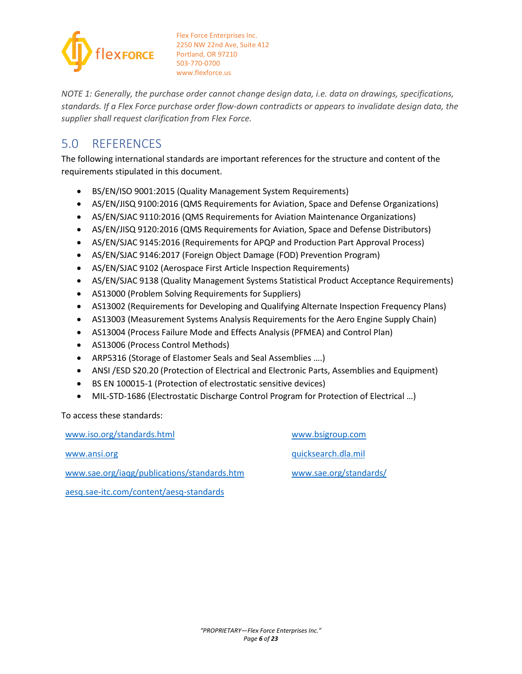

*NOTE 1: Generally, the purchase order cannot change design data, i.e. data on drawings, specifications, standards. If a Flex Force purchase order flow-down contradicts or appears to invalidate design data, the supplier shall request clarification from Flex Force.* 

# <span id="page-5-0"></span>5.0 REFERENCES

The following international standards are important references for the structure and content of the requirements stipulated in this document.

- BS/EN/ISO 9001:2015 (Quality Management System Requirements)
- AS/EN/JISQ 9100:2016 (QMS Requirements for Aviation, Space and Defense Organizations)
- AS/EN/SJAC 9110:2016 (QMS Requirements for Aviation Maintenance Organizations)
- AS/EN/JISQ 9120:2016 (QMS Requirements for Aviation, Space and Defense Distributors)
- AS/EN/SJAC 9145:2016 (Requirements for APQP and Production Part Approval Process)
- AS/EN/SJAC 9146:2017 (Foreign Object Damage (FOD) Prevention Program)
- AS/EN/SJAC 9102 (Aerospace First Article Inspection Requirements)
- AS/EN/SJAC 9138 (Quality Management Systems Statistical Product Acceptance Requirements)
- AS13000 (Problem Solving Requirements for Suppliers)
- AS13002 (Requirements for Developing and Qualifying Alternate Inspection Frequency Plans)
- AS13003 (Measurement Systems Analysis Requirements for the Aero Engine Supply Chain)
- AS13004 (Process Failure Mode and Effects Analysis (PFMEA) and Control Plan)
- AS13006 (Process Control Methods)
- ARP5316 (Storage of Elastomer Seals and Seal Assemblies ….)
- ANSI /ESD S20.20 (Protection of Electrical and Electronic Parts, Assemblies and Equipment)
- BS EN 100015-1 (Protection of electrostatic sensitive devices)
- MIL-STD-1686 (Electrostatic Discharge Control Program for Protection of Electrical ...)

To access these standards:

[www.iso.org/standards.html](http://www.iso.org/standards.html) [www.ansi.org](http://www.ansi.org/) [www.sae.org/iaqg/publications/standards.htm](http://www.sae.org/iaqg/publications/standards.htm)  [aesq.sae-itc.com/content/aesq-standards](https://aesq.sae-itc.com/content/aesq-standards)  [www.bsigroup.com](http://www.bsigroup.com/) [quicksearch.dla.mil](http://quicksearch.dla.mil/) [www.sae.org/standards/](http://www.sae.org/standards/)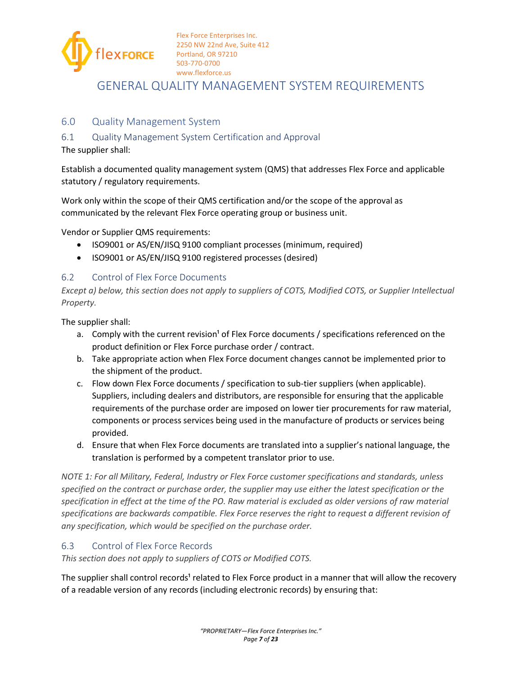

<span id="page-6-0"></span>GENERAL QUALITY MANAGEMENT SYSTEM REQUIREMENTS

## <span id="page-6-1"></span>6.0 Quality Management System

#### <span id="page-6-2"></span>6.1 Quality Management System Certification and Approval

The supplier shall:

Establish a documented quality management system (QMS) that addresses Flex Force and applicable statutory / regulatory requirements.

Work only within the scope of their QMS certification and/or the scope of the approval as communicated by the relevant Flex Force operating group or business unit.

Vendor or Supplier QMS requirements:

- ISO9001 or AS/EN/JISQ 9100 compliant processes (minimum, required)
- ISO9001 or AS/EN/JISQ 9100 registered processes (desired)

#### <span id="page-6-3"></span>6.2 Control of Flex Force Documents

*Except a) below, this section does not apply to suppliers of COTS, Modified COTS, or Supplier Intellectual Property.* 

The supplier shall:

- a. Comply with the current revision<sup>1</sup> of Flex Force documents / specifications referenced on the product definition or Flex Force purchase order / contract.
- b. Take appropriate action when Flex Force document changes cannot be implemented prior to the shipment of the product.
- c. Flow down Flex Force documents / specification to sub-tier suppliers (when applicable). Suppliers, including dealers and distributors, are responsible for ensuring that the applicable requirements of the purchase order are imposed on lower tier procurements for raw material, components or process services being used in the manufacture of products or services being provided.
- d. Ensure that when Flex Force documents are translated into a supplier's national language, the translation is performed by a competent translator prior to use.

*NOTE 1: For all Military, Federal, Industry or Flex Force customer specifications and standards, unless specified on the contract or purchase order, the supplier may use either the latest specification or the specification in effect at the time of the PO. Raw material is excluded as older versions of raw material specifications are backwards compatible. Flex Force reserves the right to request a different revision of any specification, which would be specified on the purchase order.* 

#### <span id="page-6-4"></span>6.3 Control of Flex Force Records

*This section does not apply to suppliers of COTS or Modified COTS.* 

The supplier shall control records<sup>1</sup> related to Flex Force product in a manner that will allow the recovery of a readable version of any records (including electronic records) by ensuring that: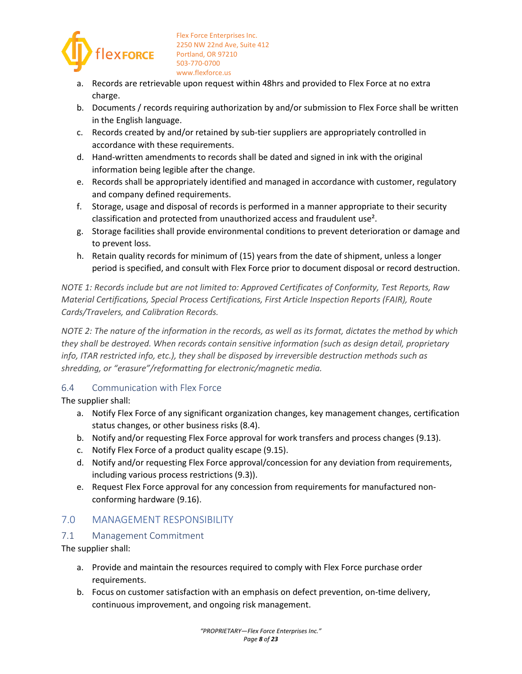

- a. Records are retrievable upon request within 48hrs and provided to Flex Force at no extra charge.
- b. Documents / records requiring authorization by and/or submission to Flex Force shall be written in the English language.
- c. Records created by and/or retained by sub-tier suppliers are appropriately controlled in accordance with these requirements.
- d. Hand-written amendments to records shall be dated and signed in ink with the original information being legible after the change.
- e. Records shall be appropriately identified and managed in accordance with customer, regulatory and company defined requirements.
- f. Storage, usage and disposal of records is performed in a manner appropriate to their security classification and protected from unauthorized access and fraudulent use².
- g. Storage facilities shall provide environmental conditions to prevent deterioration or damage and to prevent loss.
- h. Retain quality records for minimum of (15) years from the date of shipment, unless a longer period is specified, and consult with Flex Force prior to document disposal or record destruction.

*NOTE 1: Records include but are not limited to: Approved Certificates of Conformity, Test Reports, Raw Material Certifications, Special Process Certifications, First Article Inspection Reports (FAIR), Route Cards/Travelers, and Calibration Records.* 

*NOTE 2: The nature of the information in the records, as well as its format, dictates the method by which they shall be destroyed. When records contain sensitive information (such as design detail, proprietary info, ITAR restricted info, etc.), they shall be disposed by irreversible destruction methods such as shredding, or "erasure"/reformatting for electronic/magnetic media.* 

## <span id="page-7-0"></span>6.4 Communication with Flex Force

The supplier shall:

- a. Notify Flex Force of any significant organization changes, key management changes, certification status changes, or other business risks [\(8.4\)](#page-9-2).
- b. Notify and/or requesting Flex Force approval for work transfers and process changes [\(9.13\)](#page-17-0).
- c. Notify Flex Force of a product quality escape [\(9.15\)](#page-19-0).
- d. Notify and/or requesting Flex Force approval/concession for any deviation from requirements, including various process restrictions [\(9.3\)](#page-11-1)).
- e. Request Flex Force approval for any concession from requirements for manufactured nonconforming hardware [\(9.16\)](#page-20-0).

## <span id="page-7-1"></span>7.0 MANAGEMENT RESPONSIBILITY

## <span id="page-7-2"></span>7.1 Management Commitment

- a. Provide and maintain the resources required to comply with Flex Force purchase order requirements.
- b. Focus on customer satisfaction with an emphasis on defect prevention, on-time delivery, continuous improvement, and ongoing risk management.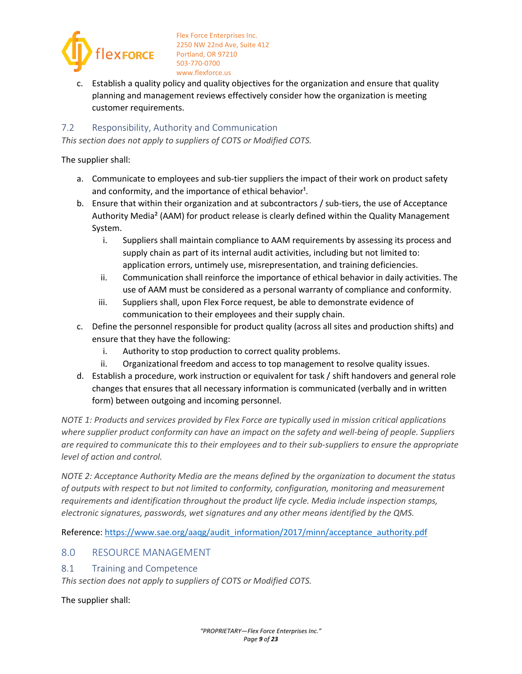

Establish a quality policy and quality objectives for the organization and ensure that quality planning and management reviews effectively consider how the organization is meeting customer requirements.

#### <span id="page-8-0"></span>7.2 Responsibility, Authority and Communication

*This section does not apply to suppliers of COTS or Modified COTS.* 

The supplier shall:

- a. Communicate to employees and sub-tier suppliers the impact of their work on product safety and conformity, and the importance of ethical behavior<sup>1</sup>.
- b. Ensure that within their organization and at subcontractors / sub-tiers, the use of Acceptance Authority Media² (AAM) for product release is clearly defined within the Quality Management System.
	- i. Suppliers shall maintain compliance to AAM requirements by assessing its process and supply chain as part of its internal audit activities, including but not limited to: application errors, untimely use, misrepresentation, and training deficiencies.
	- ii. Communication shall reinforce the importance of ethical behavior in daily activities. The use of AAM must be considered as a personal warranty of compliance and conformity.
	- iii. Suppliers shall, upon Flex Force request, be able to demonstrate evidence of communication to their employees and their supply chain.
- c. Define the personnel responsible for product quality (across all sites and production shifts) and ensure that they have the following:
	- i. Authority to stop production to correct quality problems.
	- ii. Organizational freedom and access to top management to resolve quality issues.
- d. Establish a procedure, work instruction or equivalent for task / shift handovers and general role changes that ensures that all necessary information is communicated (verbally and in written form) between outgoing and incoming personnel.

*NOTE 1: Products and services provided by Flex Force are typically used in mission critical applications where supplier product conformity can have an impact on the safety and well-being of people. Suppliers are required to communicate this to their employees and to their sub-suppliers to ensure the appropriate level of action and control.* 

*NOTE 2: Acceptance Authority Media are the means defined by the organization to document the status of outputs with respect to but not limited to conformity, configuration, monitoring and measurement requirements and identification throughout the product life cycle. Media include inspection stamps, electronic signatures, passwords, wet signatures and any other means identified by the QMS.* 

Reference: [https://www.sae.org/aaqg/audit\\_information/2017/minn/acceptance\\_authority.pdf](https://www.sae.org/aaqg/audit_information/2017/minn/acceptance_authority.pdf)

## <span id="page-8-1"></span>8.0 RESOURCE MANAGEMENT

<span id="page-8-2"></span>8.1 Training and Competence

*This section does not apply to suppliers of COTS or Modified COTS.*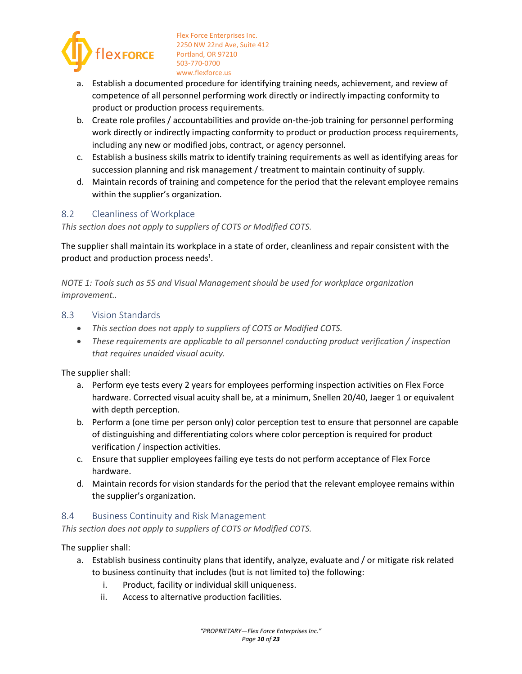

- a. Establish a documented procedure for identifying training needs, achievement, and review of competence of all personnel performing work directly or indirectly impacting conformity to product or production process requirements.
- b. Create role profiles / accountabilities and provide on-the-job training for personnel performing work directly or indirectly impacting conformity to product or production process requirements, including any new or modified jobs, contract, or agency personnel.
- c. Establish a business skills matrix to identify training requirements as well as identifying areas for succession planning and risk management / treatment to maintain continuity of supply.
- d. Maintain records of training and competence for the period that the relevant employee remains within the supplier's organization.

#### <span id="page-9-0"></span>8.2 Cleanliness of Workplace

*This section does not apply to suppliers of COTS or Modified COTS.* 

The supplier shall maintain its workplace in a state of order, cleanliness and repair consistent with the product and production process needs<sup>1</sup>.

*NOTE 1: Tools such as 5S and Visual Management should be used for workplace organization improvement..* 

#### <span id="page-9-1"></span>8.3 Vision Standards

- *This section does not apply to suppliers of COTS or Modified COTS.*
- *These requirements are applicable to all personnel conducting product verification / inspection that requires unaided visual acuity.*

The supplier shall:

- a. Perform eye tests every 2 years for employees performing inspection activities on Flex Force hardware. Corrected visual acuity shall be, at a minimum, Snellen 20/40, Jaeger 1 or equivalent with depth perception.
- b. Perform a (one time per person only) color perception test to ensure that personnel are capable of distinguishing and differentiating colors where color perception is required for product verification / inspection activities.
- c. Ensure that supplier employees failing eye tests do not perform acceptance of Flex Force hardware.
- d. Maintain records for vision standards for the period that the relevant employee remains within the supplier's organization.

#### <span id="page-9-2"></span>8.4 Business Continuity and Risk Management

*This section does not apply to suppliers of COTS or Modified COTS.* 

- a. Establish business continuity plans that identify, analyze, evaluate and / or mitigate risk related to business continuity that includes (but is not limited to) the following:
	- i. Product, facility or individual skill uniqueness.
	- ii. Access to alternative production facilities.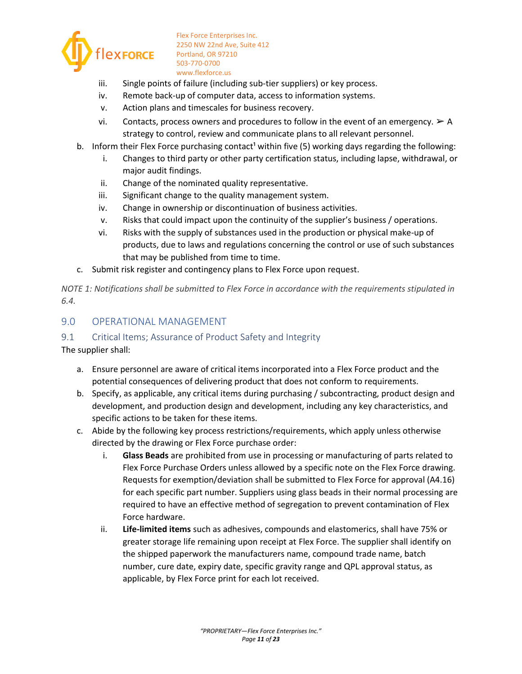

- iii. Single points of failure (including sub-tier suppliers) or key process.
- iv. Remote back-up of computer data, access to information systems.
- v. Action plans and timescales for business recovery.
- vi. Contacts, process owners and procedures to follow in the event of an emergency.  $\triangleright$  A strategy to control, review and communicate plans to all relevant personnel.
- b. Inform their Flex Force purchasing contact<sup>1</sup> within five (5) working days regarding the following:
	- i. Changes to third party or other party certification status, including lapse, withdrawal, or major audit findings.
	- ii. Change of the nominated quality representative.
	- iii. Significant change to the quality management system.
	- iv. Change in ownership or discontinuation of business activities.
	- v. Risks that could impact upon the continuity of the supplier's business / operations.
	- vi. Risks with the supply of substances used in the production or physical make-up of products, due to laws and regulations concerning the control or use of such substances that may be published from time to time.
- c. Submit risk register and contingency plans to Flex Force upon request.

*NOTE 1: Notifications shall be submitted to Flex Force in accordance with the requirements stipulated in [6.4.](#page-7-0)* 

#### <span id="page-10-0"></span>9.0 OPERATIONAL MANAGEMENT

#### <span id="page-10-1"></span>9.1 Critical Items; Assurance of Product Safety and Integrity

- a. Ensure personnel are aware of critical items incorporated into a Flex Force product and the potential consequences of delivering product that does not conform to requirements.
- b. Specify, as applicable, any critical items during purchasing / subcontracting, product design and development, and production design and development, including any key characteristics, and specific actions to be taken for these items.
- c. Abide by the following key process restrictions/requirements, which apply unless otherwise directed by the drawing or Flex Force purchase order:
	- i. **Glass Beads** are prohibited from use in processing or manufacturing of parts related to Flex Force Purchase Orders unless allowed by a specific note on the Flex Force drawing. Requests for exemption/deviation shall be submitted to Flex Force for approval (A4.16) for each specific part number. Suppliers using glass beads in their normal processing are required to have an effective method of segregation to prevent contamination of Flex Force hardware.
	- ii. **Life-limited items** such as adhesives, compounds and elastomerics, shall have 75% or greater storage life remaining upon receipt at Flex Force. The supplier shall identify on the shipped paperwork the manufacturers name, compound trade name, batch number, cure date, expiry date, specific gravity range and QPL approval status, as applicable, by Flex Force print for each lot received.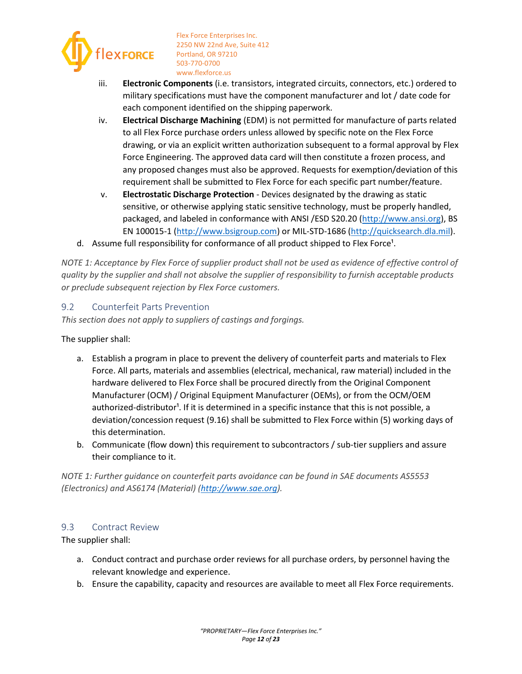

- iii. **Electronic Components** (i.e. transistors, integrated circuits, connectors, etc.) ordered to military specifications must have the component manufacturer and lot / date code for each component identified on the shipping paperwork.
- iv. **Electrical Discharge Machining** (EDM) is not permitted for manufacture of parts related to all Flex Force purchase orders unless allowed by specific note on the Flex Force drawing, or via an explicit written authorization subsequent to a formal approval by Flex Force Engineering. The approved data card will then constitute a frozen process, and any proposed changes must also be approved. Requests for exemption/deviation of this requirement shall be submitted to Flex Force for each specific part number/feature.
- v. **Electrostatic Discharge Protection** Devices designated by the drawing as static sensitive, or otherwise applying static sensitive technology, must be properly handled, packaged, and labeled in conformance with ANSI /ESD S20.20 [\(http://www.ansi.org\)](http://www.ansi.org/), BS EN 100015-1 [\(http://www.bsigroup.com\)](http://www.bsigroup.com/) or MIL-STD-1686 [\(http://quicksearch.dla.mil\)](http://quicksearch.dla.mil/).
- d. Assume full responsibility for conformance of all product shipped to Flex Force<sup>1</sup>.

*NOTE 1: Acceptance by Flex Force of supplier product shall not be used as evidence of effective control of quality by the supplier and shall not absolve the supplier of responsibility to furnish acceptable products or preclude subsequent rejection by Flex Force customers.* 

#### <span id="page-11-0"></span>9.2 Counterfeit Parts Prevention

*This section does not apply to suppliers of castings and forgings.* 

The supplier shall:

- a. Establish a program in place to prevent the delivery of counterfeit parts and materials to Flex Force. All parts, materials and assemblies (electrical, mechanical, raw material) included in the hardware delivered to Flex Force shall be procured directly from the Original Component Manufacturer (OCM) / Original Equipment Manufacturer (OEMs), or from the OCM/OEM authorized-distributor<sup>1</sup>. If it is determined in a specific instance that this is not possible, a deviation/concession request [\(9.16\)](#page-20-0) shall be submitted to Flex Force within (5) working days of this determination.
- b. Communicate (flow down) this requirement to subcontractors / sub-tier suppliers and assure their compliance to it.

*NOTE 1: Further guidance on counterfeit parts avoidance can be found in SAE documents AS5553 (Electronics) and AS6174 (Material) (http://www.sae.org).* 

#### <span id="page-11-1"></span>9.3 Contract Review

- a. Conduct contract and purchase order reviews for all purchase orders, by personnel having the relevant knowledge and experience.
- b. Ensure the capability, capacity and resources are available to meet all Flex Force requirements.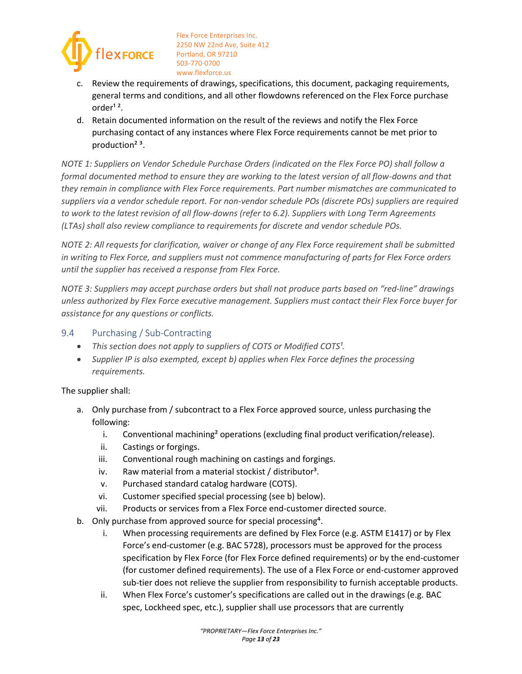

- c. Review the requirements of drawings, specifications, this document, packaging requirements, general terms and conditions, and all other flowdowns referenced on the Flex Force purchase order $12$ .
- d. Retain documented information on the result of the reviews and notify the Flex Force purchasing contact of any instances where Flex Force requirements cannot be met prior to production<sup>23</sup>.

*NOTE 1: Suppliers on Vendor Schedule Purchase Orders (indicated on the Flex Force PO) shall follow a formal documented method to ensure they are working to the latest version of all flow-downs and that they remain in compliance with Flex Force requirements. Part number mismatches are communicated to suppliers via a vendor schedule report. For non-vendor schedule POs (discrete POs) suppliers are required to work to the latest revision of all flow-downs (refer to [6.2\)](#page-6-3). Suppliers with Long Term Agreements (LTAs) shall also review compliance to requirements for discrete and vendor schedule POs.*

*NOTE 2: All requests for clarification, waiver or change of any Flex Force requirement shall be submitted in writing to Flex Force, and suppliers must not commence manufacturing of parts for Flex Force orders until the supplier has received a response from Flex Force.* 

*NOTE 3: Suppliers may accept purchase orders but shall not produce parts based on "red-line" drawings unless authorized by Flex Force executive management. Suppliers must contact their Flex Force buyer for assistance for any questions or conflicts.* 

### <span id="page-12-0"></span>9.4 Purchasing / Sub-Contracting

- This section does not apply to suppliers of COTS or Modified COTS<sup>1</sup>.
- *Supplier IP is also exempted, except b) applies when Flex Force defines the processing requirements.*

- a. Only purchase from / subcontract to a Flex Force approved source, unless purchasing the following:
	- i. Conventional machining<sup>2</sup> operations (excluding final product verification/release).
	- ii. Castings or forgings.
	- iii. Conventional rough machining on castings and forgings.
	- iv. Raw material from a material stockist / distributor<sup>3</sup>.
	- v. Purchased standard catalog hardware (COTS).
	- vi. Customer specified special processing (see b) below).
	- vii. Products or services from a Flex Force end-customer directed source.
- b. Only purchase from approved source for special processing<sup>4</sup>.
	- i. When processing requirements are defined by Flex Force (e.g. ASTM E1417) or by Flex Force's end-customer (e.g. BAC 5728), processors must be approved for the process specification by Flex Force (for Flex Force defined requirements) or by the end-customer (for customer defined requirements). The use of a Flex Force or end-customer approved sub-tier does not relieve the supplier from responsibility to furnish acceptable products.
	- ii. When Flex Force's customer's specifications are called out in the drawings (e.g. BAC spec, Lockheed spec, etc.), supplier shall use processors that are currently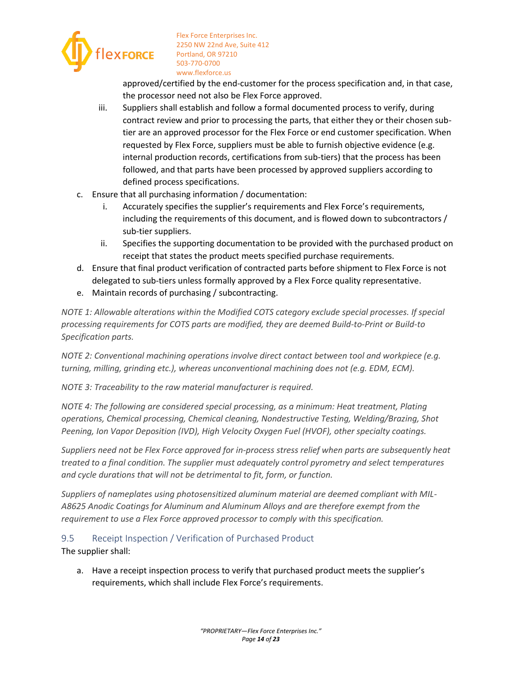

approved/certified by the end-customer for the process specification and, in that case, the processor need not also be Flex Force approved.

- iii. Suppliers shall establish and follow a formal documented process to verify, during contract review and prior to processing the parts, that either they or their chosen subtier are an approved processor for the Flex Force or end customer specification. When requested by Flex Force, suppliers must be able to furnish objective evidence (e.g. internal production records, certifications from sub-tiers) that the process has been followed, and that parts have been processed by approved suppliers according to defined process specifications.
- c. Ensure that all purchasing information / documentation:
	- i. Accurately specifies the supplier's requirements and Flex Force's requirements, including the requirements of this document, and is flowed down to subcontractors / sub-tier suppliers.
	- ii. Specifies the supporting documentation to be provided with the purchased product on receipt that states the product meets specified purchase requirements.
- d. Ensure that final product verification of contracted parts before shipment to Flex Force is not delegated to sub-tiers unless formally approved by a Flex Force quality representative.
- e. Maintain records of purchasing / subcontracting.

*NOTE 1: Allowable alterations within the Modified COTS category exclude special processes. If special processing requirements for COTS parts are modified, they are deemed Build-to-Print or Build-to Specification parts.* 

*NOTE 2: Conventional machining operations involve direct contact between tool and workpiece (e.g. turning, milling, grinding etc.), whereas unconventional machining does not (e.g. EDM, ECM).* 

*NOTE 3: Traceability to the raw material manufacturer is required.* 

*NOTE 4: The following are considered special processing, as a minimum: Heat treatment, Plating operations, Chemical processing, Chemical cleaning, Nondestructive Testing, Welding/Brazing, Shot Peening, Ion Vapor Deposition (IVD), High Velocity Oxygen Fuel (HVOF), other specialty coatings.* 

*Suppliers need not be Flex Force approved for in-process stress relief when parts are subsequently heat treated to a final condition. The supplier must adequately control pyrometry and select temperatures and cycle durations that will not be detrimental to fit, form, or function.* 

*Suppliers of nameplates using photosensitized aluminum material are deemed compliant with MIL-A8625 Anodic Coatings for Aluminum and Aluminum Alloys and are therefore exempt from the requirement to use a Flex Force approved processor to comply with this specification.* 

#### <span id="page-13-0"></span>9.5 Receipt Inspection / Verification of Purchased Product

The supplier shall:

a. Have a receipt inspection process to verify that purchased product meets the supplier's requirements, which shall include Flex Force's requirements.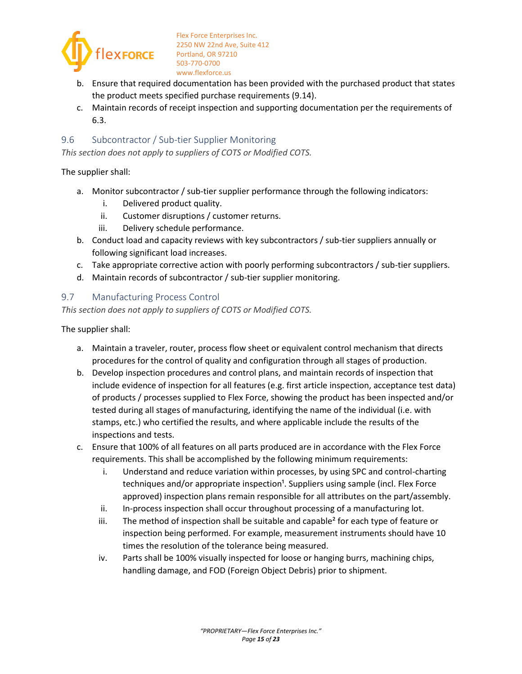

- b. Ensure that required documentation has been provided with the purchased product that states the product meets specified purchase requirements [\(9.14\)](#page-18-0).
- c. Maintain records of receipt inspection and supporting documentation per the requirements of [6.3.](#page-6-4)

#### <span id="page-14-0"></span>9.6 Subcontractor / Sub-tier Supplier Monitoring

*This section does not apply to suppliers of COTS or Modified COTS.* 

The supplier shall:

- a. Monitor subcontractor / sub-tier supplier performance through the following indicators:
	- i. Delivered product quality.
	- ii. Customer disruptions / customer returns.
	- iii. Delivery schedule performance.
- b. Conduct load and capacity reviews with key subcontractors / sub-tier suppliers annually or following significant load increases.
- c. Take appropriate corrective action with poorly performing subcontractors / sub-tier suppliers.
- d. Maintain records of subcontractor / sub-tier supplier monitoring.

#### <span id="page-14-1"></span>9.7 Manufacturing Process Control

*This section does not apply to suppliers of COTS or Modified COTS.*

- a. Maintain a traveler, router, process flow sheet or equivalent control mechanism that directs procedures for the control of quality and configuration through all stages of production.
- b. Develop inspection procedures and control plans, and maintain records of inspection that include evidence of inspection for all features (e.g. first article inspection, acceptance test data) of products / processes supplied to Flex Force, showing the product has been inspected and/or tested during all stages of manufacturing, identifying the name of the individual (i.e. with stamps, etc.) who certified the results, and where applicable include the results of the inspections and tests.
- c. Ensure that 100% of all features on all parts produced are in accordance with the Flex Force requirements. This shall be accomplished by the following minimum requirements:
	- i. Understand and reduce variation within processes, by using SPC and control-charting techniques and/or appropriate inspection<sup>1</sup>. Suppliers using sample (incl. Flex Force approved) inspection plans remain responsible for all attributes on the part/assembly.
	- ii. In-process inspection shall occur throughout processing of a manufacturing lot.
	- iii. The method of inspection shall be suitable and capable<sup>2</sup> for each type of feature or inspection being performed. For example, measurement instruments should have 10 times the resolution of the tolerance being measured.
	- iv. Parts shall be 100% visually inspected for loose or hanging burrs, machining chips, handling damage, and FOD (Foreign Object Debris) prior to shipment.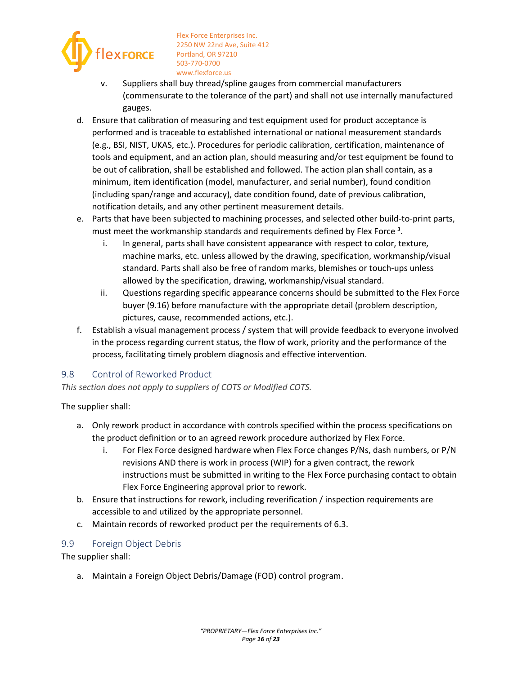

- v. Suppliers shall buy thread/spline gauges from commercial manufacturers (commensurate to the tolerance of the part) and shall not use internally manufactured gauges.
- d. Ensure that calibration of measuring and test equipment used for product acceptance is performed and is traceable to established international or national measurement standards (e.g., BSI, NIST, UKAS, etc.). Procedures for periodic calibration, certification, maintenance of tools and equipment, and an action plan, should measuring and/or test equipment be found to be out of calibration, shall be established and followed. The action plan shall contain, as a minimum, item identification (model, manufacturer, and serial number), found condition (including span/range and accuracy), date condition found, date of previous calibration, notification details, and any other pertinent measurement details.
- e. Parts that have been subjected to machining processes, and selected other build-to-print parts, must meet the workmanship standards and requirements defined by Flex Force<sup>3</sup>.
	- i. In general, parts shall have consistent appearance with respect to color, texture, machine marks, etc. unless allowed by the drawing, specification, workmanship/visual standard. Parts shall also be free of random marks, blemishes or touch-ups unless allowed by the specification, drawing, workmanship/visual standard.
	- ii. Questions regarding specific appearance concerns should be submitted to the Flex Force buyer [\(9.16\)](#page-20-0) before manufacture with the appropriate detail (problem description, pictures, cause, recommended actions, etc.).
- f. Establish a visual management process / system that will provide feedback to everyone involved in the process regarding current status, the flow of work, priority and the performance of the process, facilitating timely problem diagnosis and effective intervention.

## <span id="page-15-0"></span>9.8 Control of Reworked Product

*This section does not apply to suppliers of COTS or Modified COTS.*

The supplier shall:

- a. Only rework product in accordance with controls specified within the process specifications on the product definition or to an agreed rework procedure authorized by Flex Force.
	- i. For Flex Force designed hardware when Flex Force changes P/Ns, dash numbers, or P/N revisions AND there is work in process (WIP) for a given contract, the rework instructions must be submitted in writing to the Flex Force purchasing contact to obtain Flex Force Engineering approval prior to rework.
- b. Ensure that instructions for rework, including reverification / inspection requirements are accessible to and utilized by the appropriate personnel.
- c. Maintain records of reworked product per the requirements o[f 6.3.](#page-6-4)

## <span id="page-15-1"></span>9.9 Foreign Object Debris

The supplier shall:

a. Maintain a Foreign Object Debris/Damage (FOD) control program.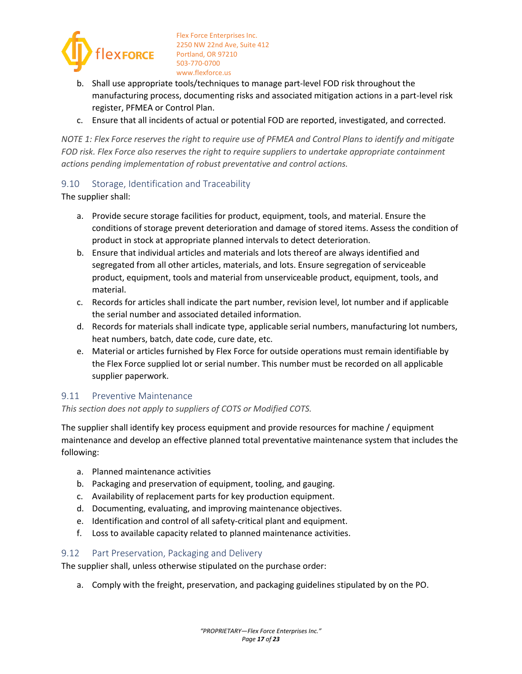

- b. Shall use appropriate tools/techniques to manage part-level FOD risk throughout the manufacturing process, documenting risks and associated mitigation actions in a part-level risk register, PFMEA or Control Plan.
- c. Ensure that all incidents of actual or potential FOD are reported, investigated, and corrected.

*NOTE 1: Flex Force reserves the right to require use of PFMEA and Control Plans to identify and mitigate FOD risk. Flex Force also reserves the right to require suppliers to undertake appropriate containment actions pending implementation of robust preventative and control actions.* 

#### <span id="page-16-0"></span>9.10 Storage, Identification and Traceability

The supplier shall:

- a. Provide secure storage facilities for product, equipment, tools, and material. Ensure the conditions of storage prevent deterioration and damage of stored items. Assess the condition of product in stock at appropriate planned intervals to detect deterioration.
- b. Ensure that individual articles and materials and lots thereof are always identified and segregated from all other articles, materials, and lots. Ensure segregation of serviceable product, equipment, tools and material from unserviceable product, equipment, tools, and material.
- c. Records for articles shall indicate the part number, revision level, lot number and if applicable the serial number and associated detailed information.
- d. Records for materials shall indicate type, applicable serial numbers, manufacturing lot numbers, heat numbers, batch, date code, cure date, etc.
- e. Material or articles furnished by Flex Force for outside operations must remain identifiable by the Flex Force supplied lot or serial number. This number must be recorded on all applicable supplier paperwork.

#### <span id="page-16-1"></span>9.11 Preventive Maintenance

#### *This section does not apply to suppliers of COTS or Modified COTS.*

The supplier shall identify key process equipment and provide resources for machine / equipment maintenance and develop an effective planned total preventative maintenance system that includes the following:

- a. Planned maintenance activities
- b. Packaging and preservation of equipment, tooling, and gauging.
- c. Availability of replacement parts for key production equipment.
- d. Documenting, evaluating, and improving maintenance objectives.
- e. Identification and control of all safety-critical plant and equipment.
- f. Loss to available capacity related to planned maintenance activities.

#### <span id="page-16-2"></span>9.12 Part Preservation, Packaging and Delivery

The supplier shall, unless otherwise stipulated on the purchase order:

a. Comply with the freight, preservation, and packaging guidelines stipulated by on the PO.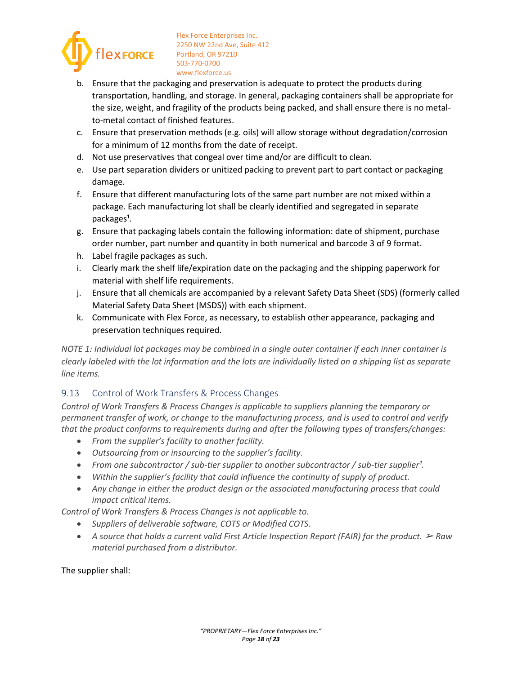

- b. Ensure that the packaging and preservation is adequate to protect the products during transportation, handling, and storage. In general, packaging containers shall be appropriate for the size, weight, and fragility of the products being packed, and shall ensure there is no metalto-metal contact of finished features.
- c. Ensure that preservation methods (e.g. oils) will allow storage without degradation/corrosion for a minimum of 12 months from the date of receipt.
- d. Not use preservatives that congeal over time and/or are difficult to clean.
- e. Use part separation dividers or unitized packing to prevent part to part contact or packaging damage.
- f. Ensure that different manufacturing lots of the same part number are not mixed within a package. Each manufacturing lot shall be clearly identified and segregated in separate packages<sup>1</sup>.
- g. Ensure that packaging labels contain the following information: date of shipment, purchase order number, part number and quantity in both numerical and barcode 3 of 9 format.
- h. Label fragile packages as such.
- i. Clearly mark the shelf life/expiration date on the packaging and the shipping paperwork for material with shelf life requirements.
- j. Ensure that all chemicals are accompanied by a relevant Safety Data Sheet (SDS) (formerly called Material Safety Data Sheet (MSDS)) with each shipment.
- k. Communicate with Flex Force, as necessary, to establish other appearance, packaging and preservation techniques required.

*NOTE 1: Individual lot packages may be combined in a single outer container if each inner container is clearly labeled with the lot information and the lots are individually listed on a shipping list as separate line items.* 

## <span id="page-17-0"></span>9.13 Control of Work Transfers & Process Changes

*Control of Work Transfers & Process Changes is applicable to suppliers planning the temporary or permanent transfer of work, or change to the manufacturing process, and is used to control and verify that the product conforms to requirements during and after the following types of transfers/changes:* 

- *From the supplier's facility to another facility.*
- *Outsourcing from or insourcing to the supplier's facility.*
- From one subcontractor / sub-tier supplier to another subcontractor / sub-tier supplier<sup>1</sup>.
- *Within the supplier's facility that could influence the continuity of supply of product.*
- *Any change in either the product design or the associated manufacturing process that could impact critical items.*

*Control of Work Transfers & Process Changes is not applicable to.* 

- *Suppliers of deliverable software, COTS or Modified COTS.*
- A source that holds a current valid First Article Inspection Report (FAIR) for the product.  $\triangleright$  *Raw material purchased from a distributor.*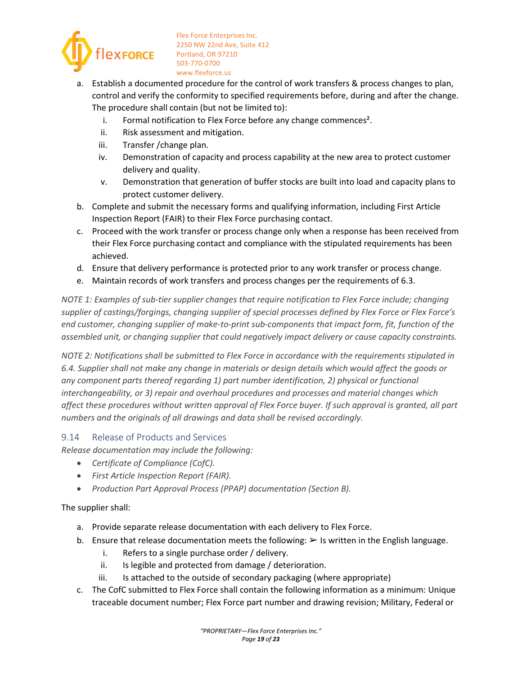

- a. Establish a documented procedure for the control of work transfers & process changes to plan, control and verify the conformity to specified requirements before, during and after the change. The procedure shall contain (but not be limited to):
	- i. Formal notification to Flex Force before any change commences<sup>2</sup>.
	- ii. Risk assessment and mitigation.
	- iii. Transfer /change plan.
	- iv. Demonstration of capacity and process capability at the new area to protect customer delivery and quality.
	- v. Demonstration that generation of buffer stocks are built into load and capacity plans to protect customer delivery.
- b. Complete and submit the necessary forms and qualifying information, including First Article Inspection Report (FAIR) to their Flex Force purchasing contact.
- c. Proceed with the work transfer or process change only when a response has been received from their Flex Force purchasing contact and compliance with the stipulated requirements has been achieved.
- d. Ensure that delivery performance is protected prior to any work transfer or process change.
- e. Maintain records of work transfers and process changes per the requirements o[f 6.3.](#page-6-4)

*NOTE 1: Examples of sub-tier supplier changes that require notification to Flex Force include; changing supplier of castings/forgings, changing supplier of special processes defined by Flex Force or Flex Force's end customer, changing supplier of make-to-print sub-components that impact form, fit, function of the assembled unit, or changing supplier that could negatively impact delivery or cause capacity constraints.* 

*NOTE 2: Notifications shall be submitted to Flex Force in accordance with the requirements stipulated in [6.4.](#page-7-0) Supplier shall not make any change in materials or design details which would affect the goods or any component parts thereof regarding 1) part number identification, 2) physical or functional interchangeability, or 3) repair and overhaul procedures and processes and material changes which affect these procedures without written approval of Flex Force buyer. If such approval is granted, all part numbers and the originals of all drawings and data shall be revised accordingly.* 

#### <span id="page-18-0"></span>9.14 Release of Products and Services

*Release documentation may include the following:* 

- *Certificate of Compliance (CofC).*
- *First Article Inspection Report (FAIR).*
- *Production Part Approval Process (PPAP) documentation (Section B).*

- a. Provide separate release documentation with each delivery to Flex Force.
- b. Ensure that release documentation meets the following:  $\triangleright$  Is written in the English language.
	- i. Refers to a single purchase order / delivery.
	- ii. Is legible and protected from damage / deterioration.
	- iii. Is attached to the outside of secondary packaging (where appropriate)
- c. The CofC submitted to Flex Force shall contain the following information as a minimum: Unique traceable document number; Flex Force part number and drawing revision; Military, Federal or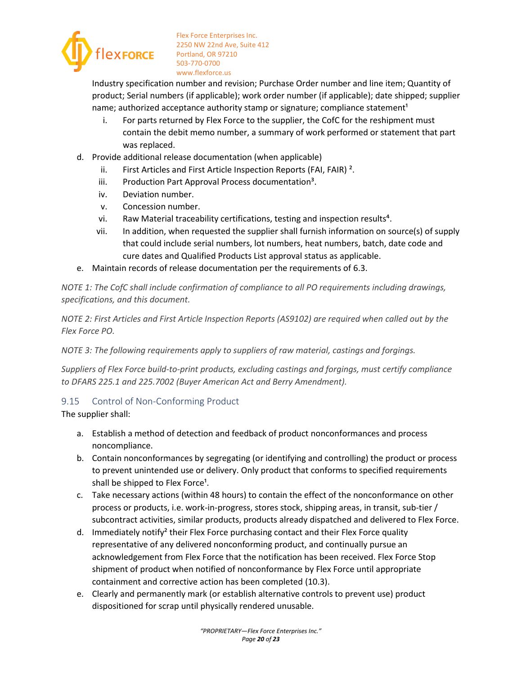

Industry specification number and revision; Purchase Order number and line item; Quantity of product; Serial numbers (if applicable); work order number (if applicable); date shipped; supplier name; authorized acceptance authority stamp or signature; compliance statement<sup>1</sup>

- i. For parts returned by Flex Force to the supplier, the CofC for the reshipment must contain the debit memo number, a summary of work performed or statement that part was replaced.
- d. Provide additional release documentation (when applicable)
	- ii. First Articles and First Article Inspection Reports (FAI, FAIR) ².
	- iii. Production Part Approval Process documentation<sup>3</sup>.
	- iv. Deviation number.
	- v. Concession number.
	- vi. Raw Material traceability certifications, testing and inspection results<sup>4</sup>.
	- vii. In addition, when requested the supplier shall furnish information on source(s) of supply that could include serial numbers, lot numbers, heat numbers, batch, date code and cure dates and Qualified Products List approval status as applicable.
- e. Maintain records of release documentation per the requirements of [6.3.](#page-6-4)

*NOTE 1: The CofC shall include confirmation of compliance to all PO requirements including drawings, specifications, and this document.* 

*NOTE 2: First Articles and First Article Inspection Reports (AS9102) are required when called out by the Flex Force PO.* 

*NOTE 3: The following requirements apply to suppliers of raw material, castings and forgings.* 

*Suppliers of Flex Force build-to-print products, excluding castings and forgings, must certify compliance to DFARS 225.1 and 225.7002 (Buyer American Act and Berry Amendment).* 

## <span id="page-19-0"></span>9.15 Control of Non-Conforming Product

- a. Establish a method of detection and feedback of product nonconformances and process noncompliance.
- b. Contain nonconformances by segregating (or identifying and controlling) the product or process to prevent unintended use or delivery. Only product that conforms to specified requirements shall be shipped to Flex Force<sup>1</sup>.
- c. Take necessary actions (within 48 hours) to contain the effect of the nonconformance on other process or products, i.e. work-in-progress, stores stock, shipping areas, in transit, sub-tier / subcontract activities, similar products, products already dispatched and delivered to Flex Force.
- d. Immediately notify<sup>2</sup> their Flex Force purchasing contact and their Flex Force quality representative of any delivered nonconforming product, and continually pursue an acknowledgement from Flex Force that the notification has been received. Flex Force Stop shipment of product when notified of nonconformance by Flex Force until appropriate containment and corrective action has been completed [\(10.3\)](#page-21-1).
- e. Clearly and permanently mark (or establish alternative controls to prevent use) product dispositioned for scrap until physically rendered unusable.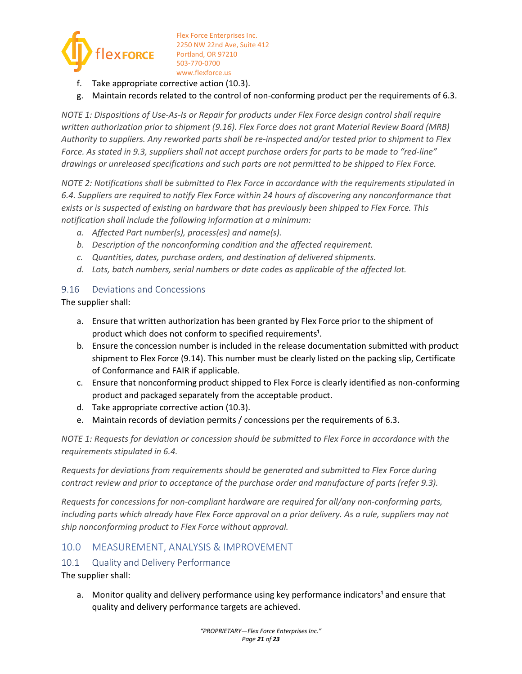

- Take appropriate corrective action [\(10.3\)](#page-21-1).
- g. Maintain records related to the control of non-conforming product per the requirements o[f 6.3.](#page-6-4)

*NOTE 1: Dispositions of Use-As-Is or Repair for products under Flex Force design control shall require written authorization prior to shipment [\(9.16\)](#page-20-0). Flex Force does not grant Material Review Board (MRB) Authority to suppliers. Any reworked parts shall be re-inspected and/or tested prior to shipment to Flex Force. As stated in [9.3,](#page-11-1) suppliers shall not accept purchase orders for parts to be made to "red-line" drawings or unreleased specifications and such parts are not permitted to be shipped to Flex Force.* 

*NOTE 2: Notifications shall be submitted to Flex Force in accordance with the requirements stipulated in [6.4.](#page-7-0) Suppliers are required to notify Flex Force within 24 hours of discovering any nonconformance that exists or is suspected of existing on hardware that has previously been shipped to Flex Force. This notification shall include the following information at a minimum:* 

- *a. Affected Part number(s), process(es) and name(s).*
- *b. Description of the nonconforming condition and the affected requirement.*
- *c. Quantities, dates, purchase orders, and destination of delivered shipments.*
- *d. Lots, batch numbers, serial numbers or date codes as applicable of the affected lot.*

#### <span id="page-20-0"></span>9.16 Deviations and Concessions

The supplier shall:

- a. Ensure that written authorization has been granted by Flex Force prior to the shipment of product which does not conform to specified requirements<sup>1</sup>.
- b. Ensure the concession number is included in the release documentation submitted with product shipment to Flex Force [\(9.14\)](#page-18-0). This number must be clearly listed on the packing slip, Certificate of Conformance and FAIR if applicable.
- c. Ensure that nonconforming product shipped to Flex Force is clearly identified as non-conforming product and packaged separately from the acceptable product.
- d. Take appropriate corrective action [\(10.3\)](#page-21-1).
- e. Maintain records of deviation permits / concessions per the requirements of [6.3.](#page-6-4)

*NOTE 1: Requests for deviation or concession should be submitted to Flex Force in accordance with the requirements stipulated i[n 6.4.](#page-7-0)* 

*Requests for deviations from requirements should be generated and submitted to Flex Force during contract review and prior to acceptance of the purchase order and manufacture of parts (refer [9.3\)](#page-11-1).* 

*Requests for concessions for non-compliant hardware are required for all/any non-conforming parts, including parts which already have Flex Force approval on a prior delivery. As a rule, suppliers may not ship nonconforming product to Flex Force without approval.* 

## <span id="page-20-1"></span>10.0 MEASUREMENT, ANALYSIS & IMPROVEMENT

#### <span id="page-20-2"></span>10.1 Quality and Delivery Performance

The supplier shall:

a. Monitor quality and delivery performance using key performance indicators<sup>1</sup> and ensure that quality and delivery performance targets are achieved.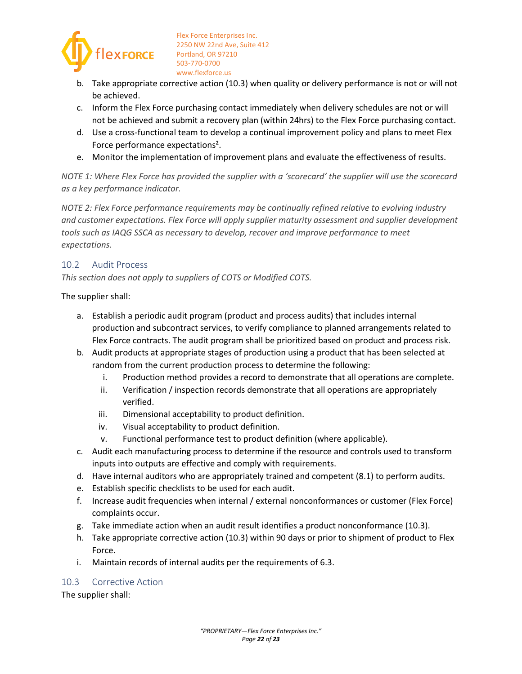

- b. Take appropriate corrective action [\(10.3\)](#page-21-1) when quality or delivery performance is not or will not be achieved.
- c. Inform the Flex Force purchasing contact immediately when delivery schedules are not or will not be achieved and submit a recovery plan (within 24hrs) to the Flex Force purchasing contact.
- d. Use a cross-functional team to develop a continual improvement policy and plans to meet Flex Force performance expectations².
- e. Monitor the implementation of improvement plans and evaluate the effectiveness of results.

*NOTE 1: Where Flex Force has provided the supplier with a 'scorecard' the supplier will use the scorecard as a key performance indicator.* 

*NOTE 2: Flex Force performance requirements may be continually refined relative to evolving industry and customer expectations. Flex Force will apply supplier maturity assessment and supplier development tools such as IAQG SSCA as necessary to develop, recover and improve performance to meet expectations.* 

#### <span id="page-21-0"></span>10.2 Audit Process

*This section does not apply to suppliers of COTS or Modified COTS.* 

The supplier shall:

- a. Establish a periodic audit program (product and process audits) that includes internal production and subcontract services, to verify compliance to planned arrangements related to Flex Force contracts. The audit program shall be prioritized based on product and process risk.
- b. Audit products at appropriate stages of production using a product that has been selected at random from the current production process to determine the following:
	- i. Production method provides a record to demonstrate that all operations are complete.
	- ii. Verification / inspection records demonstrate that all operations are appropriately verified.
	- iii. Dimensional acceptability to product definition.
	- iv. Visual acceptability to product definition.
	- v. Functional performance test to product definition (where applicable).
- c. Audit each manufacturing process to determine if the resource and controls used to transform inputs into outputs are effective and comply with requirements.
- d. Have internal auditors who are appropriately trained and competent [\(8.1\)](#page-8-2) to perform audits.
- e. Establish specific checklists to be used for each audit.
- f. Increase audit frequencies when internal / external nonconformances or customer (Flex Force) complaints occur.
- g. Take immediate action when an audit result identifies a product nonconformance [\(10.3\)](#page-21-1).
- h. Take appropriate corrective action [\(10.3\)](#page-21-1) within 90 days or prior to shipment of product to Flex Force.
- i. Maintain records of internal audits per the requirements o[f 6.3.](#page-6-4)

#### <span id="page-21-1"></span>10.3 Corrective Action